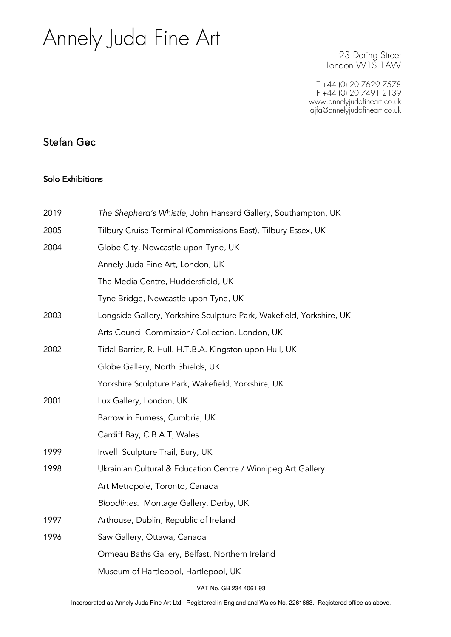# Annely Juda Fine Art

23 Dering Street London W1S 1AW

T +44 (0) 20 7629 7578 F +44 (0) 20 7491 2139 www.annelyjudafineart.co.uk ajfa@annelyjudafineart.co.uk

## Stefan Gec

#### Solo Exhibitions

| 2019 | The Shepherd's Whistle, John Hansard Gallery, Southampton, UK        |
|------|----------------------------------------------------------------------|
| 2005 | Tilbury Cruise Terminal (Commissions East), Tilbury Essex, UK        |
| 2004 | Globe City, Newcastle-upon-Tyne, UK                                  |
|      | Annely Juda Fine Art, London, UK                                     |
|      | The Media Centre, Huddersfield, UK                                   |
|      | Tyne Bridge, Newcastle upon Tyne, UK                                 |
| 2003 | Longside Gallery, Yorkshire Sculpture Park, Wakefield, Yorkshire, UK |
|      | Arts Council Commission/ Collection, London, UK                      |
| 2002 | Tidal Barrier, R. Hull. H.T.B.A. Kingston upon Hull, UK              |
|      | Globe Gallery, North Shields, UK                                     |
|      | Yorkshire Sculpture Park, Wakefield, Yorkshire, UK                   |
| 2001 | Lux Gallery, London, UK                                              |
|      | Barrow in Furness, Cumbria, UK                                       |
|      | Cardiff Bay, C.B.A.T, Wales                                          |
| 1999 | Irwell Sculpture Trail, Bury, UK                                     |
| 1998 | Ukrainian Cultural & Education Centre / Winnipeg Art Gallery         |
|      | Art Metropole, Toronto, Canada                                       |
|      | Bloodlines. Montage Gallery, Derby, UK                               |
| 1997 | Arthouse, Dublin, Republic of Ireland                                |
| 1996 | Saw Gallery, Ottawa, Canada                                          |
|      | Ormeau Baths Gallery, Belfast, Northern Ireland                      |
|      | Museum of Hartlepool, Hartlepool, UK                                 |
|      |                                                                      |

VAT No. GB 234 4061 93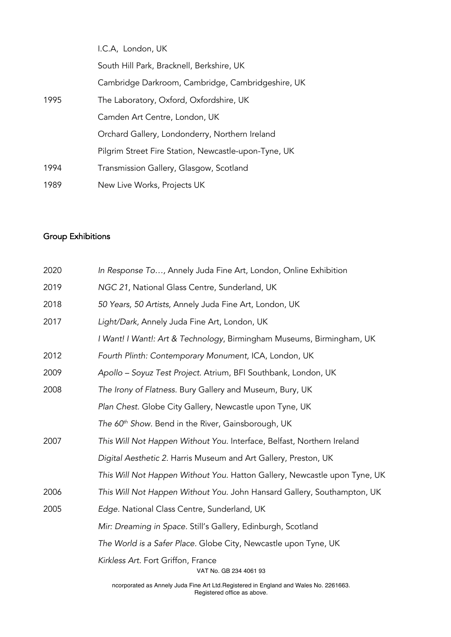|      | I.C.A, London, UK                                    |
|------|------------------------------------------------------|
|      | South Hill Park, Bracknell, Berkshire, UK            |
|      | Cambridge Darkroom, Cambridge, Cambridgeshire, UK    |
| 1995 | The Laboratory, Oxford, Oxfordshire, UK              |
|      | Camden Art Centre, London, UK                        |
|      | Orchard Gallery, Londonderry, Northern Ireland       |
|      | Pilgrim Street Fire Station, Newcastle-upon-Tyne, UK |
| 1994 | Transmission Gallery, Glasgow, Scotland              |
| 1989 | New Live Works, Projects UK                          |

### Group Exhibitions

| 2020 | In Response To, Annely Juda Fine Art, London, Online Exhibition           |
|------|---------------------------------------------------------------------------|
| 2019 | NGC 21, National Glass Centre, Sunderland, UK                             |
| 2018 | 50 Years, 50 Artists, Annely Juda Fine Art, London, UK                    |
| 2017 | Light/Dark, Annely Juda Fine Art, London, UK                              |
|      | I Want! I Want!: Art & Technology, Birmingham Museums, Birmingham, UK     |
| 2012 | Fourth Plinth: Contemporary Monument, ICA, London, UK                     |
| 2009 | Apollo - Soyuz Test Project. Atrium, BFI Southbank, London, UK            |
| 2008 | The Irony of Flatness. Bury Gallery and Museum, Bury, UK                  |
|      | Plan Chest. Globe City Gallery, Newcastle upon Tyne, UK                   |
|      | The 60 <sup>th</sup> Show. Bend in the River, Gainsborough, UK            |
| 2007 | This Will Not Happen Without You. Interface, Belfast, Northern Ireland    |
|      | Digital Aesthetic 2. Harris Museum and Art Gallery, Preston, UK           |
|      | This Will Not Happen Without You. Hatton Gallery, Newcastle upon Tyne, UK |
| 2006 | This Will Not Happen Without You. John Hansard Gallery, Southampton, UK   |
| 2005 | Edge. National Class Centre, Sunderland, UK                               |
|      | Mir: Dreaming in Space. Still's Gallery, Edinburgh, Scotland              |
|      | The World is a Safer Place. Globe City, Newcastle upon Tyne, UK           |
|      | Kirkless Art. Fort Griffon, France<br>VAT No. GB 234 4061 93              |
|      |                                                                           |

ncorporated as Annely Juda Fine Art Ltd.Registered in England and Wales No. 2261663. Registered office as above.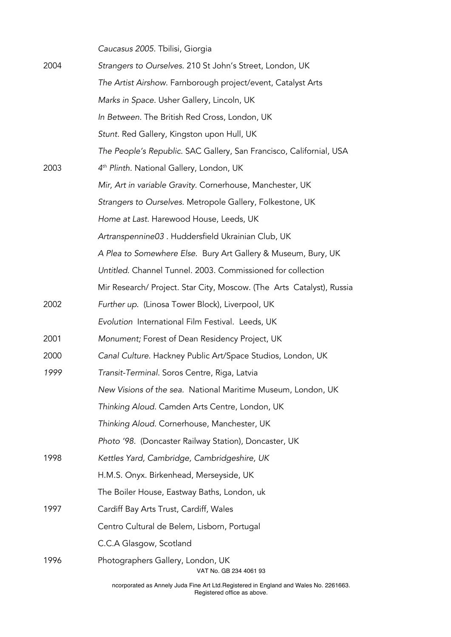*Caucasus 2005.* Tbilisi, Giorgia

| 2004 | Strangers to Ourselves. 210 St John's Street, London, UK              |
|------|-----------------------------------------------------------------------|
|      | The Artist Airshow. Farnborough project/event, Catalyst Arts          |
|      | Marks in Space. Usher Gallery, Lincoln, UK                            |
|      | In Between. The British Red Cross, London, UK                         |
|      | Stunt. Red Gallery, Kingston upon Hull, UK                            |
|      | The People's Republic. SAC Gallery, San Francisco, Californial, USA   |
| 2003 | 4 <sup>th</sup> Plinth. National Gallery, London, UK                  |
|      | Mir, Art in variable Gravity. Cornerhouse, Manchester, UK             |
|      | Strangers to Ourselves. Metropole Gallery, Folkestone, UK             |
|      | Home at Last. Harewood House, Leeds, UK                               |
|      | Artranspennine03. Huddersfield Ukrainian Club, UK                     |
|      | A Plea to Somewhere Else. Bury Art Gallery & Museum, Bury, UK         |
|      | Untitled. Channel Tunnel. 2003. Commissioned for collection           |
|      | Mir Research/ Project. Star City, Moscow. (The Arts Catalyst), Russia |
| 2002 | Further up. (Linosa Tower Block), Liverpool, UK                       |
|      | Evolution International Film Festival. Leeds, UK                      |
| 2001 | Monument; Forest of Dean Residency Project, UK                        |
| 2000 | Canal Culture. Hackney Public Art/Space Studios, London, UK           |
| 1999 | Transit-Terminal. Soros Centre, Riga, Latvia                          |
|      | New Visions of the sea. National Maritime Museum, London, UK          |
|      | Thinking Aloud. Camden Arts Centre, London, UK                        |
|      | Thinking Aloud. Cornerhouse, Manchester, UK                           |
|      | Photo '98. (Doncaster Railway Station), Doncaster, UK                 |
| 1998 | Kettles Yard, Cambridge, Cambridgeshire, UK                           |
|      | H.M.S. Onyx. Birkenhead, Merseyside, UK                               |
|      | The Boiler House, Eastway Baths, London, uk                           |
| 1997 | Cardiff Bay Arts Trust, Cardiff, Wales                                |
|      | Centro Cultural de Belem, Lisborn, Portugal                           |
|      | C.C.A Glasgow, Scotland                                               |
| 1996 | Photographers Gallery, London, UK<br>VAT No. GB 234 4061 93           |

ncorporated as Annely Juda Fine Art Ltd.Registered in England and Wales No. 2261663. Registered office as above.